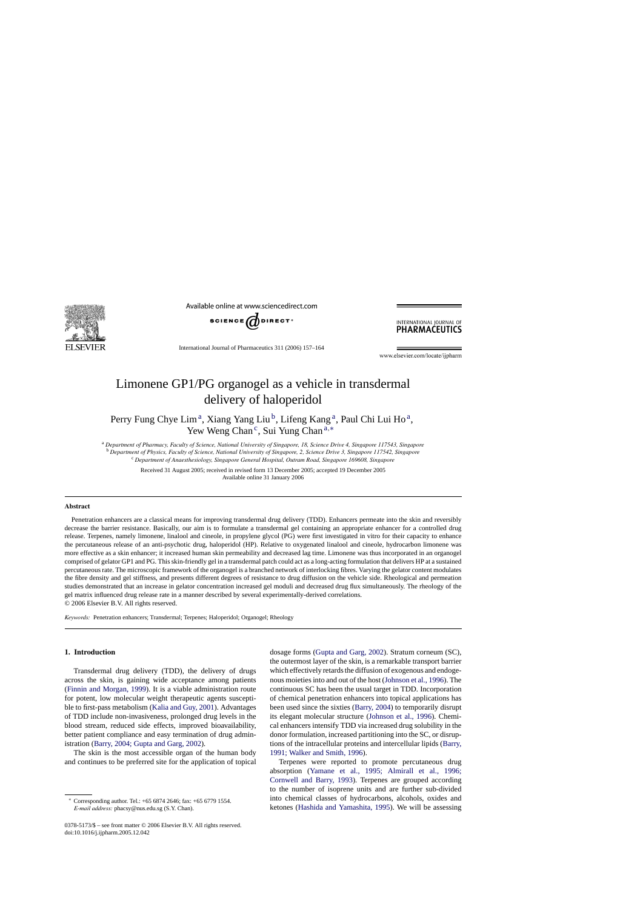

Available online at www.sciencedirect.com



INTERNATIONAL JOURNAL OF **PHARMACEUTICS** 

International Journal of Pharmaceutics 311 (2006) 157–164

www.elsevier.com/locate/iipharm

# Limonene GP1/PG organogel as a vehicle in transdermal delivery of haloperidol

Perry Fung Chye Lim<sup>a</sup>, Xiang Yang Liu<sup>b</sup>, Lifeng Kang<sup>a</sup>, Paul Chi Lui Ho<sup>a</sup>, Yew Weng Chan<sup>c</sup>, Sui Yung Chan<sup>a,∗</sup>

<sup>a</sup> *Department of Pharmacy, Faculty of Science, National University of Singapore, 18, Science Drive 4, Singapore 117543, Singapore* <sup>b</sup> *Department of Physics, Faculty of Science, National University of Singapore, 2, Science Drive 3, Singapore 117542, Singapore*

<sup>c</sup> *Department of Anaesthesiology, Singapore General Hospital, Outram Road, Singapore 169608, Singapore*

Received 31 August 2005; received in revised form 13 December 2005; accepted 19 December 2005 Available online 31 January 2006

#### **Abstract**

Penetration enhancers are a classical means for improving transdermal drug delivery (TDD). Enhancers permeate into the skin and reversibly decrease the barrier resistance. Basically, our aim is to formulate a transdermal gel containing an appropriate enhancer for a controlled drug release. Terpenes, namely limonene, linalool and cineole, in propylene glycol (PG) were first investigated in vitro for their capacity to enhance the percutaneous release of an anti-psychotic drug, haloperidol (HP). Relative to oxygenated linalool and cineole, hydrocarbon limonene was more effective as a skin enhancer; it increased human skin permeability and decreased lag time. Limonene was thus incorporated in an organogel comprised of gelator GP1 and PG. This skin-friendly gel in a transdermal patch could act as a long-acting formulation that delivers HP at a sustained percutaneous rate. The microscopic framework of the organogel is a branched network of interlocking fibres. Varying the gelator content modulates the fibre density and gel stiffness, and presents different degrees of resistance to drug diffusion on the vehicle side. Rheological and permeation studies demonstrated that an increase in gelator concentration increased gel moduli and decreased drug flux simultaneously. The rheology of the gel matrix influenced drug release rate in a manner described by several experimentally-derived correlations. © 2006 Elsevier B.V. All rights reserved.

*Keywords:* Penetration enhancers; Transdermal; Terpenes; Haloperidol; Organogel; Rheology

#### **1. Introduction**

Transdermal drug delivery (TDD), the delivery of drugs across the skin, is gaining wide acceptance among patients ([Finnin and Morgan, 1999\).](#page-6-0) It is a viable administration route for potent, low molecular weight therapeutic agents susceptible to first-pass metabolism [\(Kalia and Guy, 2001\).](#page-6-0) Advantages of TDD include non-invasiveness, prolonged drug levels in the blood stream, reduced side effects, improved bioavailability, better patient compliance and easy termination of drug administration [\(Barry, 2004; Gupta and Garg, 2002\).](#page-6-0)

The skin is the most accessible organ of the human body and continues to be preferred site for the application of topical

0378-5173/\$ – see front matter © 2006 Elsevier B.V. All rights reserved. doi:10.1016/j.ijpharm.2005.12.042

dosage forms [\(Gupta and Garg, 2002\).](#page-6-0) Stratum corneum (SC), the outermost layer of the skin, is a remarkable transport barrier which effectively retards the diffusion of exogenous and endogenous moieties into and out of the host [\(Johnson et al., 1996\).](#page-6-0) The continuous SC has been the usual target in TDD. Incorporation of chemical penetration enhancers into topical applications has been used since the sixties ([Barry, 2004\)](#page-6-0) to temporarily disrupt its elegant molecular structure [\(Johnson et al., 1996\).](#page-6-0) Chemical enhancers intensify TDD via increased drug solubility in the donor formulation, increased partitioning into the SC, or disruptions of the intracellular proteins and intercellular lipids [\(Barry,](#page-6-0) [1991; Walker and Smith, 1996\).](#page-6-0)

Terpenes were reported to promote percutaneous drug absorption ([Yamane et al., 1995; Almirall](#page-7-0) [et al., 1996;](#page-7-0) [Cornwell and Barry, 1993\).](#page-7-0) Terpenes are grouped according to the number of isoprene units and are further sub-divided into chemical classes of hydrocarbons, alcohols, oxides and ketones [\(Hashida and Yamashita, 1995\).](#page-6-0) We will be assessing

<sup>∗</sup> Corresponding author. Tel.: +65 6874 2646; fax: +65 6779 1554. *E-mail address:* phacsy@nus.edu.sg (S.Y. Chan).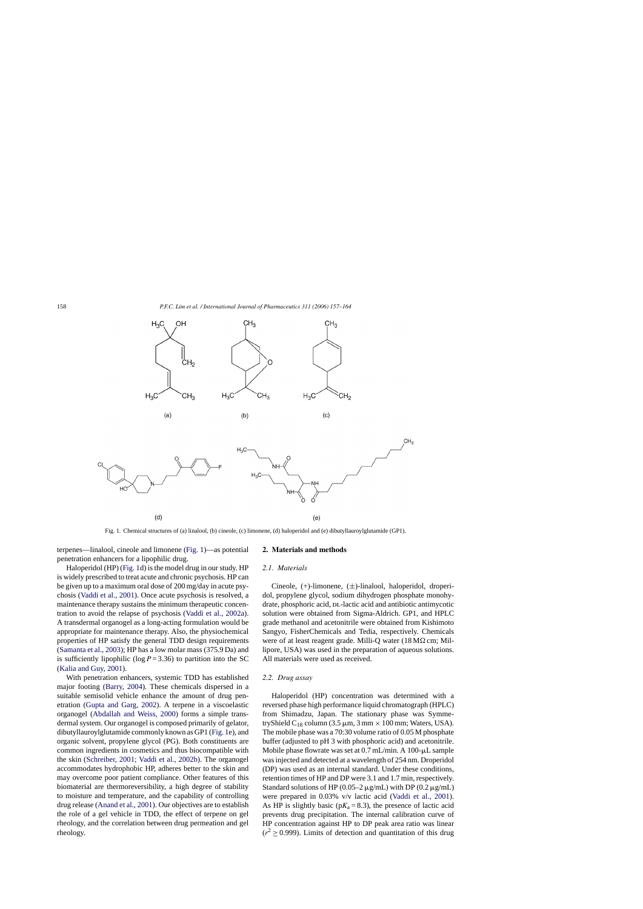

Fig. 1. Chemical structures of (a) linalool, (b) cineole, (c) limonene, (d) haloperidol and (e) dibutyllauroylglutamide (GP1).

terpenes—linalool, cineole and limonene (Fig. 1)—as potential penetration enhancers for a lipophilic drug.

Haloperidol (HP) (Fig. 1d) is the model drug in our study. HP is widely prescribed to treat acute and chronic psychosis. HP can be given up to a maximum oral dose of 200 mg/day in acute psychosis ([Vaddi et al., 2001\).](#page-7-0) Once acute psychosis is resolved, a maintenance therapy sustains the minimum therapeutic concentration to avoid the relapse of psychosis [\(Vaddi et al., 2002a\).](#page-7-0) A transdermal organogel as a long-acting formulation would be appropriate for maintenance therapy. Also, the physiochemical properties of HP satisfy the general TDD design requirements [\(Samanta et al., 2003\);](#page-6-0) HP has a low molar mass (375.9 Da) and is sufficiently lipophilic ( $log P = 3.36$ ) to partition into the SC [\(Kalia and Guy, 2001\).](#page-6-0)

With penetration enhancers, systemic TDD has established major footing [\(Barry, 2004\).](#page-6-0) These chemicals dispersed in a suitable semisolid vehicle enhance the amount of drug penetration ([Gupta and Garg, 2002\).](#page-6-0) A terpene in a viscoelastic organogel ([Abdallah and Weiss, 2000\)](#page-6-0) forms a simple transdermal system. Our organogel is composed primarily of gelator, dibutyllauroylglutamide commonly known as GP1 (Fig. 1e), and organic solvent, propylene glycol (PG). Both constituents are common ingredients in cosmetics and thus biocompatible with the skin [\(Schreiber, 2001; Vaddi et al., 2002b\).](#page-6-0) The organogel accommodates hydrophobic HP, adheres better to the skin and may overcome poor patient compliance. Other features of this biomaterial are thermoreversibility, a high degree of stability to moisture and temperature, and the capability of controlling drug release [\(Anand et al., 2001\).](#page-6-0) Our objectives are to establish the role of a gel vehicle in TDD, the effect of terpene on gel rheology, and the correlation between drug permeation and gel rheology.

## **2. Materials and methods**

#### *2.1. Materials*

Cineole, (+)-limonene, (±)-linalool, haloperidol, droperidol, propylene glycol, sodium dihydrogen phosphate monohydrate, phosphoric acid, DL-lactic acid and antibiotic antimycotic solution were obtained from Sigma-Aldrich. GP1, and HPLC grade methanol and acetonitrile were obtained from Kishimoto Sangyo, FisherChemicals and Tedia, respectively. Chemicals were of at least reagent grade. Milli-Q water  $(18 M\Omega \text{ cm}; \text{Mil}$ lipore, USA) was used in the preparation of aqueous solutions. All materials were used as received.

#### *2.2. Drug assay*

Haloperidol (HP) concentration was determined with a reversed phase high performance liquid chromatograph (HPLC) from Shimadzu, Japan. The stationary phase was SymmetryShield C<sub>18</sub> column (3.5  $\mu$ m, 3 mm × 100 mm; Waters, USA). The mobile phase was a 70:30 volume ratio of 0.05 M phosphate buffer (adjusted to pH 3 with phosphoric acid) and acetonitrile. Mobile phase flowrate was set at  $0.7$  mL/min. A  $100$ - $\mu$ L sample was injected and detected at a wavelength of 254 nm. Droperidol (DP) was used as an internal standard. Under these conditions, retention times of HP and DP were 3.1 and 1.7 min, respectively. Standard solutions of HP (0.05–2  $\mu$ g/mL) with DP (0.2  $\mu$ g/mL) were prepared in 0.03% v/v lactic acid [\(Vaddi et al., 2001\).](#page-7-0) As HP is slightly basic ( $pK_a = 8.3$ ), the presence of lactic acid prevents drug precipitation. The internal calibration curve of HP concentration against HP to DP peak area ratio was linear  $(r^2 > 0.999)$ . Limits of detection and quantitation of this drug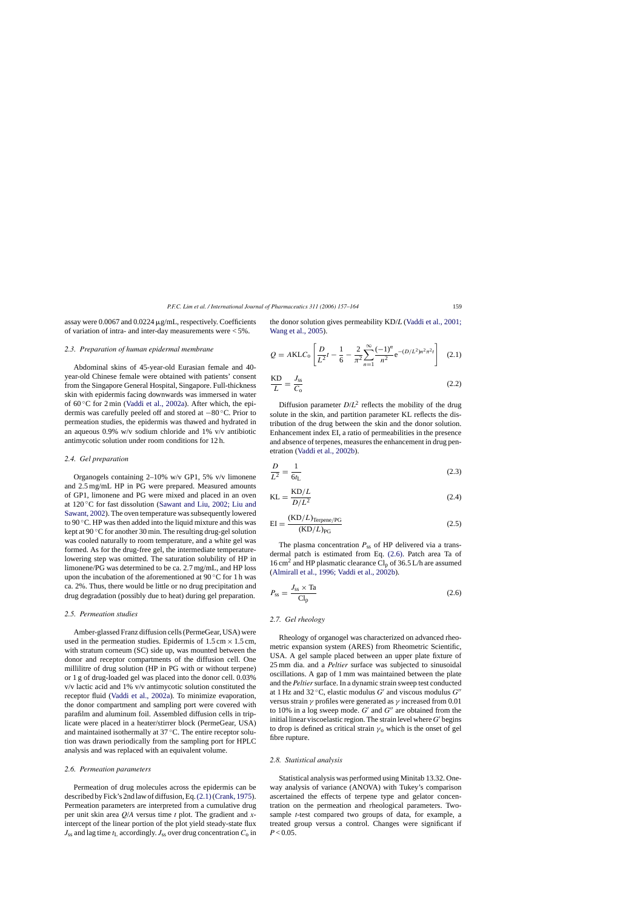assay were 0.0067 and 0.0224  $\mu$ g/mL, respectively. Coefficients of variation of intra- and inter-day measurements were < 5%.

# *2.3. Preparation of human epidermal membrane*

Abdominal skins of 45-year-old Eurasian female and 40 year-old Chinese female were obtained with patients' consent from the Singapore General Hospital, Singapore. Full-thickness skin with epidermis facing downwards was immersed in water of 60 ◦C for 2 min [\(Vaddi et al., 2002a\).](#page-7-0) After which, the epidermis was carefully peeled off and stored at −80 ◦C. Prior to permeation studies, the epidermis was thawed and hydrated in an aqueous 0.9% w/v sodium chloride and 1% v/v antibiotic antimycotic solution under room conditions for 12 h.

#### *2.4. Gel preparation*

Organogels containing 2–10% w/v GP1, 5% v/v limonene and 2.5 mg/mL HP in PG were prepared. Measured amounts of GP1, limonene and PG were mixed and placed in an oven at 120 ◦C for fast dissolution ([Sawant and Liu, 2002; Liu and](#page-6-0) [Sawant, 2002\).](#page-6-0) The oven temperature was subsequently lowered to 90 ◦C. HP was then added into the liquid mixture and this was kept at  $90^{\circ}$ C for another 30 min. The resulting drug-gel solution was cooled naturally to room temperature, and a white gel was formed. As for the drug-free gel, the intermediate temperaturelowering step was omitted. The saturation solubility of HP in limonene/PG was determined to be ca. 2.7 mg/mL, and HP loss upon the incubation of the aforementioned at  $90^{\circ}$ C for 1 h was ca. 2%. Thus, there would be little or no drug precipitation and drug degradation (possibly due to heat) during gel preparation.

## *2.5. Permeation studies*

Amber-glassed Franz diffusion cells (PermeGear, USA) were used in the permeation studies. Epidermis of  $1.5 \text{ cm} \times 1.5 \text{ cm}$ , with stratum corneum (SC) side up, was mounted between the donor and receptor compartments of the diffusion cell. One millilitre of drug solution (HP in PG with or without terpene) or 1 g of drug-loaded gel was placed into the donor cell. 0.03% v/v lactic acid and 1% v/v antimycotic solution constituted the receptor fluid ([Vaddi et al., 2002a\).](#page-7-0) To minimize evaporation, the donor compartment and sampling port were covered with parafilm and aluminum foil. Assembled diffusion cells in triplicate were placed in a heater/stirrer block (PermeGear, USA) and maintained isothermally at 37 ◦C. The entire receptor solution was drawn periodically from the sampling port for HPLC analysis and was replaced with an equivalent volume.

#### *2.6. Permeation parameters*

Permeation of drug molecules across the epidermis can be described by Fick's 2nd law of diffusion, Eq.(2.1)([Crank, 1975\).](#page-6-0) Permeation parameters are interpreted from a cumulative drug per unit skin area *Q*/*A* versus time *t* plot. The gradient and *x*intercept of the linear portion of the plot yield steady-state flux  $J_{ss}$  and lag time  $t_L$  accordingly.  $J_{ss}$  over drug concentration  $C_0$  in

the donor solution gives permeability KD/*L* [\(Vaddi et al., 2001;](#page-7-0) [Wang et al., 2005\).](#page-7-0)

$$
Q = AKLC_0 \left[ \frac{D}{L^2} t - \frac{1}{6} - \frac{2}{\pi^2} \sum_{n=1}^{\infty} \frac{(-1)^n}{n^2} e^{-(D/L^2)n^2 \pi^2 t} \right] \quad (2.1)
$$

$$
\frac{KD}{L} = \frac{J_{ss}}{C_0} \tag{2.2}
$$

Diffusion parameter  $D/L^2$  reflects the mobility of the drug solute in the skin, and partition parameter KL reflects the distribution of the drug between the skin and the donor solution. Enhancement index EI, a ratio of permeabilities in the presence and absence of terpenes, measures the enhancement in drug penetration ([Vaddi et al., 2002b\).](#page-7-0)

$$
\frac{D}{L^2} = \frac{1}{6t_L} \tag{2.3}
$$

$$
KL = \frac{KD/L}{D/L^2}
$$
 (2.4)

$$
EI = \frac{(KD/L)_{Terpene/PG}}{(KD/L)_{PG}}
$$
\n(2.5)

The plasma concentration  $P_{ss}$  of HP delivered via a transdermal patch is estimated from Eq. (2.6). Patch area Ta of 16 cm<sup>2</sup> and HP plasmatic clearance Cl<sub>p</sub> of 36.5 L/h are assumed ([Almirall et al., 1996; Vaddi et al., 2002b\).](#page-6-0)

$$
P_{\rm ss} = \frac{J_{\rm ss} \times \text{Ta}}{\text{Cl}_{\rm p}}\tag{2.6}
$$

#### *2.7. Gel rheology*

Rheology of organogel was characterized on advanced rheometric expansion system (ARES) from Rheometric Scientific, USA. A gel sample placed between an upper plate fixture of 25 mm dia. and a *Peltier* surface was subjected to sinusoidal oscillations. A gap of 1 mm was maintained between the plate and the *Peltier* surface. In a dynamic strain sweep test conducted at 1 Hz and 32  $\degree$ C, elastic modulus *G'* and viscous modulus *G''* versus strain  $\gamma$  profiles were generated as  $\gamma$  increased from 0.01 to 10% in a log sweep mode.  $G'$  and  $G''$  are obtained from the initial linear viscoelastic region. The strain level where  $G'$  begins to drop is defined as critical strain  $\gamma_0$  which is the onset of gel fibre rupture.

## *2.8. Statistical analysis*

Statistical analysis was performed using Minitab 13.32. Oneway analysis of variance (ANOVA) with Tukey's comparison ascertained the effects of terpene type and gelator concentration on the permeation and rheological parameters. Twosample *t*-test compared two groups of data, for example, a treated group versus a control. Changes were significant if  $P < 0.05$ .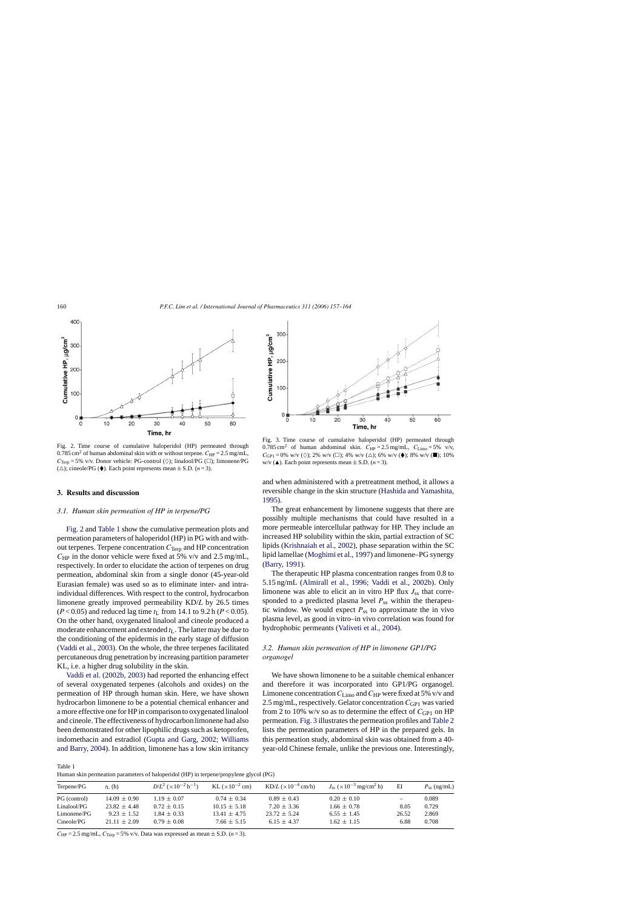<span id="page-3-0"></span>

Fig. 2. Time course of cumulative haloperidol (HP) permeated through 0.785 cm<sup>2</sup> of human abdominal skin with or without terpene.  $C_{HP} = 2.5$  mg/mL,  $C_{\text{Terp}} = 5\%$  v/v. Donor vehicle: PG-control ( $\Diamond$ ); linalool/PG ( $\Box$ ); limonene/PG ( $\triangle$ ); cineole/PG ( $\blacklozenge$ ). Each point represents mean  $\pm$  S.D. (*n* = 3).

#### **3. Results and discussion**

## *3.1. Human skin permeation of HP in terpene/PG*

Fig. 2 and Table 1 show the cumulative permeation plots and permeation parameters of haloperidol (HP) in PG with and without terpenes. Terpene concentration  $C_{\text{Terp}}$  and HP concentration  $C_{HP}$  in the donor vehicle were fixed at 5% v/v and 2.5 mg/mL, respectively. In order to elucidate the action of terpenes on drug permeation, abdominal skin from a single donor (45-year-old Eurasian female) was used so as to eliminate inter- and intraindividual differences. With respect to the control, hydrocarbon limonene greatly improved permeability KD/*L* by 26.5 times ( $P < 0.05$ ) and reduced lag time  $t_L$  from 14.1 to 9.2 h ( $P < 0.05$ ). On the other hand, oxygenated linalool and cineole produced a moderate enhancement and extended  $t_L$ . The latter may be due to the conditioning of the epidermis in the early stage of diffusion [\(Vaddi et al., 2003\).](#page-7-0) On the whole, the three terpenes facilitated percutaneous drug penetration by increasing partition parameter KL, i.e. a higher drug solubility in the skin.

[Vaddi et al. \(2002b, 2003\)](#page-7-0) had reported the enhancing effect of several oxygenated terpenes (alcohols and oxides) on the permeation of HP through human skin. Here, we have shown hydrocarbon limonene to be a potential chemical enhancer and a more effective one for HP in comparison to oxygenated linalool and cineole. The effectiveness of hydrocarbon limonene had also been demonstrated for other lipophilic drugs such as ketoprofen, indomethacin and estradiol ([Gupta and Garg, 2002; Williams](#page-6-0) [and Barry, 2004\).](#page-6-0) In addition, limonene has a low skin irritancy



Fig. 3. Time course of cumulative haloperidol (HP) permeated through 0.785 cm<sup>2</sup> of human abdominal skin.  $C_{HP} = 2.5$  mg/mL,  $C_{Limo} = 5\%$  v/v,  $C_{\text{GP1}} = 0\%$  w/v ( $\diamondsuit$ ); 2% w/v ( $\Box$ ); 4% w/v ( $\triangle$ ); 6% w/v ( $\blacklozenge$ ); 8% w/v ( $\blacksquare$ ); 10%  $w/v$  ( $\triangle$ ). Each point represents mean  $\pm$  S.D. (*n* = 3).

and when administered with a pretreatment method, it allows a reversible change in the skin structure [\(Hashida and Yamashita,](#page-6-0) [1995\).](#page-6-0)

The great enhancement by limonene suggests that there are possibly multiple mechanisms that could have resulted in a more permeable intercellular pathway for HP. They include an increased HP solubility within the skin, partial extraction of SC lipids ([Krishnaiah et al., 2002\),](#page-6-0) phase separation within the SC lipid lamellae [\(Moghimi et al., 1997\)](#page-6-0) and limonene–PG synergy [\(Barry, 1991\).](#page-6-0)

The therapeutic HP plasma concentration ranges from 0.8 to 5.15 ng/mL [\(Almirall et al., 1996; Vaddi et al., 2002b\).](#page-6-0) Only limonene was able to elicit an in vitro HP flux  $J_{ss}$  that corresponded to a predicted plasma level  $P_{ss}$  within the therapeutic window. We would expect  $P_{ss}$  to approximate the in vivo plasma level, as good in vitro–in vivo correlation was found for hydrophobic permeants [\(Valiveti et al., 2004\).](#page-7-0)

# *3.2. Human skin permeation of HP in limonene GP1/PG organogel*

We have shown limonene to be a suitable chemical enhancer and therefore it was incorporated into GP1/PG organogel. Limonene concentration  $C_{\text{Limo}}$  and  $C_{\text{HP}}$  were fixed at 5% v/v and 2.5 mg/mL, respectively. Gelator concentration C<sub>GP1</sub> was varied from 2 to 10% w/v so as to determine the effect of  $C_{\text{GP1}}$  on HP permeation. Fig. 3 illustrates the permeation profiles and [Table 2](#page-4-0) lists the permeation parameters of HP in the prepared gels. In this permeation study, abdominal skin was obtained from a 40 year-old Chinese female, unlike the previous one. Interestingly,

Table 1

Human skin permeation parameters of haloperidol (HP) in terpene/propylene glycol (PG)

| Terpene/PG   | $t_{\rm L}$ (h)  | $D/L^2$ ( $\times 10^{-2}$ h <sup>-1</sup> ) | KL $(\times 10^{-2}$ cm) | $KD/L \left( \times 10^{-4}$ cm/h) | $J_{ss}$ ( $\times$ 10 <sup>-3</sup> mg/cm <sup>2</sup> h) | ΕI                       | $P_{ss}$ (ng/mL) |
|--------------|------------------|----------------------------------------------|--------------------------|------------------------------------|------------------------------------------------------------|--------------------------|------------------|
| PG (control) | $14.09 \pm 0.90$ | $1.19 \pm 0.07$                              | $0.74 \pm 0.34$          | $0.89 \pm 0.43$                    | $0.20 \pm 0.10$                                            | $\overline{\phantom{0}}$ | 0.089            |
| Linalool/PG  | $23.82 + 4.48$   | $0.72 \pm 0.15$                              | $10.15 \pm 5.18$         | $7.20 \pm 3.36$                    | $1.66 \pm 0.78$                                            | 8.05                     | 0.729            |
| Limonene/PG  | $9.23 + 1.52$    | $1.84 \pm 0.33$                              | $13.41 \pm 4.75$         | $23.72 + 5.24$                     | $6.55 \pm 1.45$                                            | 26.52                    | 2.869            |
| Cineole/PG   | $21.11 \pm 2.09$ | $0.79 \pm 0.08$                              | $7.66 \pm 5.15$          | $6.15 \pm 4.37$                    | $1.62 \pm 1.15$                                            | 6.88                     | 0.708            |

 $C_{HP} = 2.5$  mg/mL,  $C_{Term} = 5\%$  v/v. Data was expressed as mean  $\pm$  S.D. (*n* = 3).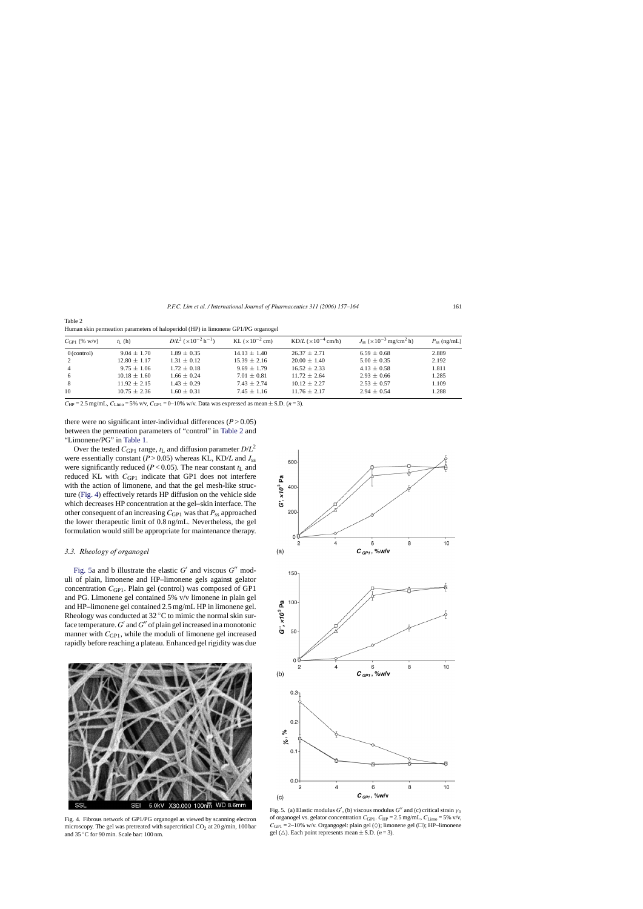| $C_{\text{GP1}}$ (% w/v) | $t_{\rm L}$ (h)  | $D/L^2$ ( $\times 10^{-2}$ h <sup>-1</sup> ) | KL $(\times 10^{-2}$ cm) | $KD/L \left( \times 10^{-4}$ cm/h) | $J_{ss}$ ( $\times 10^{-3}$ mg/cm <sup>2</sup> h) | $P_{ss}$ (ng/mL) |
|--------------------------|------------------|----------------------------------------------|--------------------------|------------------------------------|---------------------------------------------------|------------------|
| $0$ (control)            | $9.04 \pm 1.70$  | $1.89 \pm 0.35$                              | $14.13 \pm 1.40$         | $26.37 \pm 2.71$                   | $6.59 \pm 0.68$                                   | 2.889            |
| 2                        | $12.80 \pm 1.17$ | $1.31 \pm 0.12$                              | $15.39 \pm 2.16$         | $20.00 \pm 1.40$                   | $5.00 \pm 0.35$                                   | 2.192            |
| $\overline{4}$           | $9.75 \pm 1.06$  | $1.72 \pm 0.18$                              | $9.69 \pm 1.79$          | $16.52 + 2.33$                     | $4.13 \pm 0.58$                                   | 1.811            |
| 6                        | $10.18 \pm 1.60$ | $1.66 \pm 0.24$                              | $7.01 \pm 0.81$          | $11.72 + 2.64$                     | $2.93 \pm 0.66$                                   | 1.285            |
| 8                        | $11.92 \pm 2.15$ | $1.43 \pm 0.29$                              | $7.43 \pm 2.74$          | $10.12 + 2.27$                     | $2.53 \pm 0.57$                                   | 1.109            |
| 10                       | $10.75 \pm 2.36$ | $1.60 \pm 0.31$                              | $7.45 \pm 1.16$          | $11.76 \pm 2.17$                   | $2.94 \pm 0.54$                                   | 1.288            |
|                          |                  |                                              |                          |                                    |                                                   |                  |

<span id="page-4-0"></span>Table 2 Human skin permeation parameters of haloperidol (HP) in limonene GP1/PG organogel

 $C_{HP} = 2.5$  mg/mL,  $C_{Limo} = 5\%$  v/v,  $C_{GP1} = 0-10\%$  w/v. Data was expressed as mean  $\pm$  S.D. (*n* = 3).

there were no significant inter-individual differences  $(P > 0.05)$ between the permeation parameters of "control" in Table 2 and "Limonene/PG" in [Table 1.](#page-3-0)

Over the tested  $C_{\text{GP1}}$  range,  $t_L$  and diffusion parameter  $D/L^2$ were essentially constant ( $P > 0.05$ ) whereas KL, KD/*L* and  $J_{ss}$ were significantly reduced ( $P < 0.05$ ). The near constant  $t<sub>L</sub>$  and reduced KL with *C*<sub>GP1</sub> indicate that GP1 does not interfere with the action of limonene, and that the gel mesh-like structure (Fig. 4) effectively retards HP diffusion on the vehicle side which decreases HP concentration at the gel–skin interface. The other consequent of an increasing  $C_{GP1}$  was that  $P_{ss}$  approached the lower therapeutic limit of 0.8 ng/mL. Nevertheless, the gel formulation would still be appropriate for maintenance therapy.

# *3.3. Rheology of organogel*

Fig. 5a and b illustrate the elastic  $G'$  and viscous  $G''$  moduli of plain, limonene and HP–limonene gels against gelator concentration *C*<sub>GP1</sub>. Plain gel (control) was composed of GP1 and PG. Limonene gel contained 5% v/v limonene in plain gel and HP–limonene gel contained 2.5 mg/mL HP in limonene gel. Rheology was conducted at  $32^{\circ}$ C to mimic the normal skin surface temperature.  $G'$  and  $G''$  of plain gel increased in a monotonic manner with  $C_{\text{GPI}}$ , while the moduli of limonene gel increased rapidly before reaching a plateau. Enhanced gel rigidity was due



Fig. 4. Fibrous network of GP1/PG organogel as viewed by scanning electron microscopy. The gel was pretreated with supercritical  $CO<sub>2</sub>$  at 20 g/min, 100 bar and 35 ◦C for 90 min. Scale bar: 100 nm.



Fig. 5. (a) Elastic modulus  $G'$ , (b) viscous modulus  $G''$  and (c) critical strain  $\gamma_0$ of organogel vs. gelator concentration  $C_{\text{GP1}}$ .  $C_{\text{HP}} = 2.5$  mg/mL,  $C_{\text{Limo}} = 5\%$  v/v,  $C_{\text{GPI}} = 2-10\%$  w/v. Organgogel: plain gel ( $\Diamond$ ); limonene gel ( $\Box$ ); HP-limonene gel  $(\triangle)$ . Each point represents mean  $\pm$  S.D. (*n* = 3).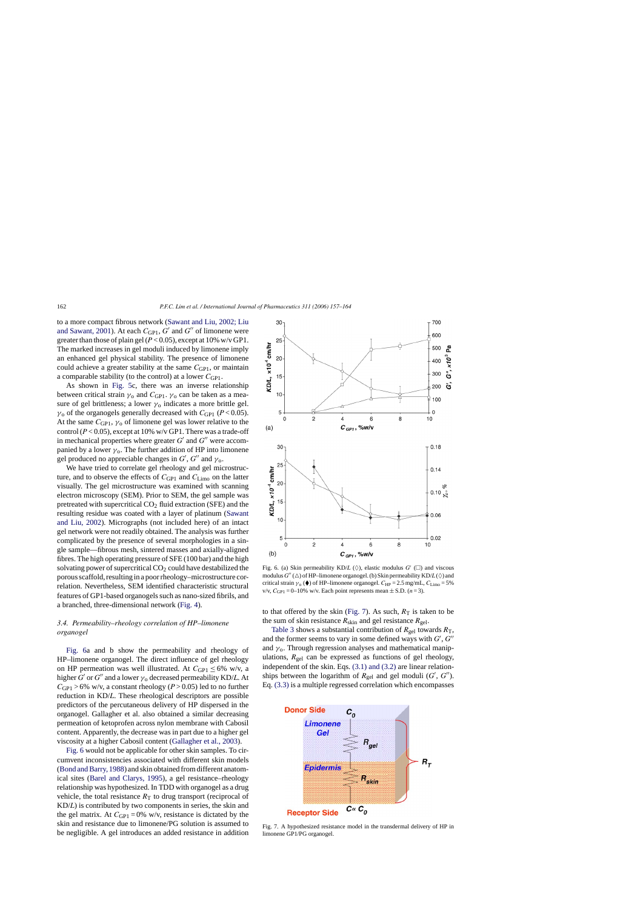to a more compact fibrous network ([Sawant and Liu, 2002; Liu](#page-6-0) [and Sawant, 2001\).](#page-6-0) At each  $C_{\text{GPI}}$ ,  $G'$  and  $G''$  of limonene were greater than those of plain gel ( $P < 0.05$ ), except at 10% w/v GP1. The marked increases in gel moduli induced by limonene imply an enhanced gel physical stability. The presence of limonene could achieve a greater stability at the same C<sub>GP1</sub>, or maintain a comparable stability (to the control) at a lower  $C_{\text{GP}1}$ .

As shown in [Fig. 5c](#page-4-0), there was an inverse relationship between critical strain  $\gamma_0$  and  $C_{\text{GPI}}$ .  $\gamma_0$  can be taken as a measure of gel brittleness; a lower  $\gamma_0$  indicates a more brittle gel.  $\gamma_0$  of the organogels generally decreased with  $C_{\text{GP1}}$  ( $P < 0.05$ ). At the same  $C_{\text{GPI}}$ ,  $\gamma_0$  of limonene gel was lower relative to the control  $(P < 0.05)$ , except at 10% w/v GP1. There was a trade-off in mechanical properties where greater  $G'$  and  $G''$  were accompanied by a lower  $\gamma_0$ . The further addition of HP into limonene gel produced no appreciable changes in  $G'$ ,  $G''$  and  $\gamma_o$ .

We have tried to correlate gel rheology and gel microstructure, and to observe the effects of *C*GP1 and *C*Limo on the latter visually. The gel microstructure was examined with scanning electron microscopy (SEM). Prior to SEM, the gel sample was pretreated with supercritical  $CO<sub>2</sub>$  fluid extraction (SFE) and the resulting residue was coated with a layer of platinum ([Sawant](#page-6-0) [and Liu, 2002\).](#page-6-0) Micrographs (not included here) of an intact gel network were not readily obtained. The analysis was further complicated by the presence of several morphologies in a single sample—fibrous mesh, sintered masses and axially-aligned fibres. The high operating pressure of SFE (100 bar) and the high solvating power of supercritical  $CO<sub>2</sub>$  could have destabilized the porous scaffold, resulting in a poor rheology–microstructure correlation. Nevertheless, SEM identified characteristic structural features of GP1-based organogels such as nano-sized fibrils, and a branched, three-dimensional network [\(Fig. 4\).](#page-4-0)

# *3.4. Permeability–rheology correlation of HP–limonene organogel*

Fig. 6a and b show the permeability and rheology of HP–limonene organogel. The direct influence of gel rheology on HP permeation was well illustrated. At  $C_{GP1}$  < 6% w/v, a higher *G'* or *G''* and a lower  $\gamma_0$  decreased permeability KD/*L*. At  $C_{\text{GPI}} > 6\%$  w/v, a constant rheology ( $P > 0.05$ ) led to no further reduction in KD/*L*. These rheological descriptors are possible predictors of the percutaneous delivery of HP dispersed in the organogel. Gallagher et al. also obtained a similar decreasing permeation of ketoprofen across nylon membrane with Cabosil content. Apparently, the decrease was in part due to a higher gel viscosity at a higher Cabosil content [\(Gallagher et al., 2003\).](#page-6-0)

Fig. 6 would not be applicable for other skin samples. To circumvent inconsistencies associated with different skin models [\(Bond and Barry, 1988\) a](#page-6-0)nd skin obtained from different anatomical sites ([Barel and Clarys, 1995\),](#page-6-0) a gel resistance–rheology relationship was hypothesized. In TDD with organogel as a drug vehicle, the total resistance  $R<sub>T</sub>$  to drug transport (reciprocal of KD/*L*) is contributed by two components in series, the skin and the gel matrix. At  $C_{\text{GP1}} = 0\%$  w/v, resistance is dictated by the skin and resistance due to limonene/PG solution is assumed to be negligible. A gel introduces an added resistance in addition



Fig. 6. (a) Skin permeability KD/*L* ( $\Diamond$ ), elastic modulus  $G'$  ( $\square$ ) and viscous modulus  $G''(\triangle)$  of HP–limonene organogel. (b) Skin permeability  $KD/L(\diamond)$  and critical strain  $\gamma_0$  ( $\blacklozenge$ ) of HP–limonene organogel.  $C_{HP} = 2.5$  mg/mL,  $C_{Limo} = 5\%$ v/v,  $C_{\text{GP1}} = 0$ –10% w/v. Each point represents mean  $\pm$  S.D. (*n* = 3).

to that offered by the skin (Fig. 7). As such,  $R_T$  is taken to be the sum of skin resistance  $R_{\text{skin}}$  and gel resistance  $R_{\text{gel}}$ .

[Table 3](#page-6-0) shows a substantial contribution of  $R_{gel}$  towards  $R_T$ , and the former seems to vary in some defined ways with  $G'$ ,  $G''$ and  $\gamma$ <sub>0</sub>. Through regression analyses and mathematical manipulations,  $R_{gel}$  can be expressed as functions of gel rheology, independent of the skin. Eqs. [\(3.1\) and \(3.2\)](#page-6-0) are linear relationships between the logarithm of  $R_{gel}$  and gel moduli  $(G', G'')$ . Eq. [\(3.3\)](#page-6-0) is a multiple regressed correlation which encompasses



Fig. 7. A hypothesized resistance model in the transdermal delivery of HP in limonene GP1/PG organogel.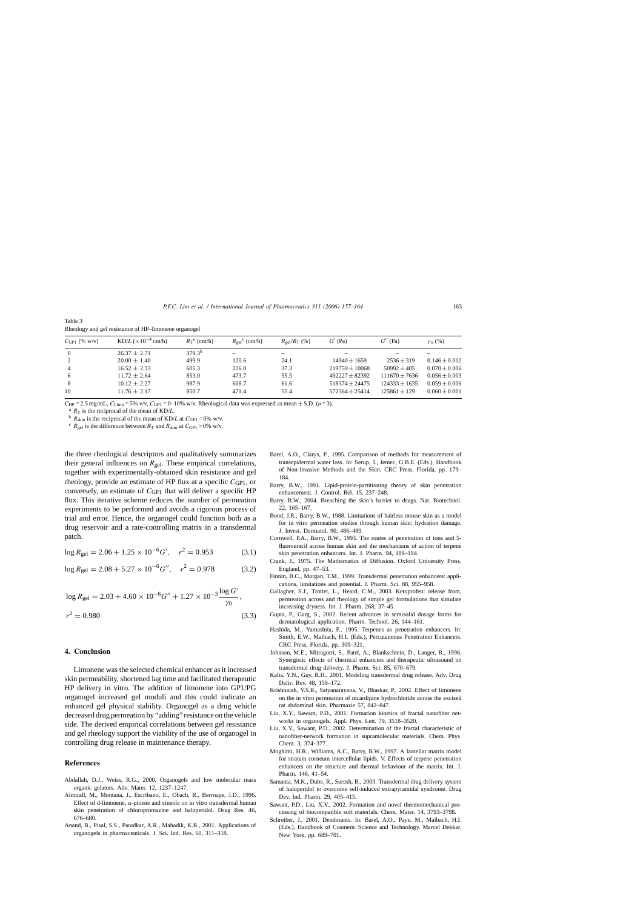| $C_{\text{GPI}}$ (% w/v) | $KD/L \times 10^{-4}$ cm/h) | $R_T$ <sup>a</sup> (cm/h) | $R_{\text{gel}}^{\text{c}}$ (cm/h) | $R_{\rm gel}/R_{\rm T}$ (%) | $G'$ (Pa)          | $G^{\prime\prime}$ (Pa) | $\gamma_0(\%)$    |
|--------------------------|-----------------------------|---------------------------|------------------------------------|-----------------------------|--------------------|-------------------------|-------------------|
| $\overline{0}$           | $26.37 + 2.71$              | 379.3 <sup>b</sup>        |                                    |                             |                    |                         |                   |
| 2                        | $20.00 \pm 1.40$            | 499.9                     | 120.6                              | 24.1                        | $14940 \pm 1659$   | $2536 \pm 319$          | $0.146 \pm 0.012$ |
| $\overline{4}$           | $16.52 + 2.33$              | 605.3                     | 226.0                              | 37.3                        | $219759 + 10068$   | $50992 + 405$           | $0.070 \pm 0.006$ |
| 6                        | $11.72 \pm 2.64$            | 853.0                     | 473.7                              | 55.5                        | $492227 + 82392$   | $111670 + 7636$         | $0.056 \pm 0.003$ |
| 8                        | $10.12 \pm 2.27$            | 987.9                     | 608.7                              | 61.6                        | $518374 \pm 24475$ | $124333 \pm 1635$       | $0.059 \pm 0.006$ |
| 10                       | $11.76 \pm 2.17$            | 850.7                     | 471.4                              | 55.4                        | $572364 + 25414$   | $125861 + 129$          | $0.060 \pm 0.001$ |
|                          |                             |                           |                                    |                             |                    |                         |                   |

<span id="page-6-0"></span>Table 3 Rheology and gel resistance of HP–limonene organogel

C<sub>HP</sub> = 2.5 mg/mL, C<sub>Limo</sub> = 5% v/v, C<sub>GP1</sub> = 0-10% w/v. Rheological data was expressed as mean ± S.D. (*n* = 3).<br><sup>a</sup>  $R_T$  is the reciprocal of the mean of KD/*L*.<br><sup>b</sup>  $R_{\text{skin}}$  is the reciprocal of the mean of KD/*L* at

the three rheological descriptors and qualitatively summarizes their general influences on  $R_{gel}$ . These empirical correlations, together with experimentally-obtained skin resistance and gel rheology, provide an estimate of HP flux at a specific  $C_{\text{GP1}}$ , or conversely, an estimate of C<sub>GP1</sub> that will deliver a specific HP flux. This iterative scheme reduces the number of permeation experiments to be performed and avoids a rigorous process of trial and error. Hence, the organogel could function both as a drug reservoir and a rate-controlling matrix in a transdermal patch.

$$
\log R_{\rm gel} = 2.06 + 1.25 \times 10^{-6} G', \quad r^2 = 0.953 \tag{3.1}
$$

$$
\log R_{\rm gel} = 2.08 + 5.27 \times 10^{-6} G'', \quad r^2 = 0.978 \tag{3.2}
$$

$$
\log R_{\text{gel}} = 2.03 + 4.60 \times 10^{-6} G'' + 1.27 \times 10^{-3} \frac{\log G'}{\gamma_0},
$$
  

$$
r^2 = 0.980
$$
 (3.3)

#### **4. Conclusion**

Limonene was the selected chemical enhancer as it increased skin permeability, shortened lag time and facilitated therapeutic HP delivery in vitro. The addition of limonene into GP1/PG organogel increased gel moduli and this could indicate an enhanced gel physical stability. Organogel as a drug vehicle decreased drug permeation by "adding" resistance on the vehicle side. The derived empirical correlations between gel resistance and gel rheology support the viability of the use of organogel in controlling drug release in maintenance therapy.

#### **References**

- Abdallah, D.J., Weiss, R.G., 2000. Organogels and low molecular mass organic gelators. Adv. Mater. 12, 1237–1247.
- Almirall, M., Montana, J., Escribano, E., Obach, R., Berrozpe, J.D., 1996. Effect of d-limonene,  $\alpha$ -pinene and cineole on in vitro transdermal human skin penetration of chloropromazine and haloperidol. Drug Res. 46, 676–680.
- Anand, B., Pisal, S.S., Paradkar, A.R., Mahadik, K.R., 2001. Applications of organogels in pharmaceuticals. J. Sci. Ind. Res. 60, 311–318.
- Barel, A.O., Clarys, P., 1995. Comparison of methods for measurement of transepidermal water loss. In: Serup, J., Jemec, G.B.E. (Eds.), Handbook of Non-Invasive Methods and the Skin. CRC Press, Florida, pp. 179– 184.
- Barry, B.W., 1991. Lipid-protein-partitioning theory of skin penetration enhancement. J. Control. Rel. 15, 237–248.
- Barry, B.W., 2004. Breaching the skin's barrier to drugs. Nat. Biotechnol. 22, 165–167.
- Bond, J.R., Barry, B.W., 1988. Limitations of hairless mouse skin as a model for in vitro permeation studies through human skin: hydration damage. J. Invest. Dermatol. 90, 486–489.
- Cornwell, P.A., Barry, B.W., 1993. The routes of penetration of ions and 5 fluorouracil across human skin and the mechanisms of action of terpene skin penetration enhancers. Int. J. Pharm. 94, 189–194.
- Crank, J., 1975. The Mathematics of Diffusion. Oxford University Press, England, pp. 47–53.
- Finnin, B.C., Morgan, T.M., 1999. Transdermal penetration enhancers: applications, limitations and potential. J. Pharm. Sci. 88, 955–958.
- Gallagher, S.J., Trottet, L., Heard, C.M., 2003. Ketoprofen: release from, permeation across and rheology of simple gel formulations that simulate increasing dryness. Int. J. Pharm. 268, 37–45.
- Gupta, P., Garg, S., 2002. Recent advances in semisolid dosage forms for dermatological application. Pharm. Technol. 26, 144–161.
- Hashida, M., Yamashita, F., 1995. Terpenes as penetration enhancers. In: Smith, E.W., Maibach, H.I. (Eds.), Percutaneous Penetration Enhancers. CRC Press, Florida, pp. 309–321.
- Johnson, M.E., Mitragotri, S., Patel, A., Blankschtein, D., Langer, R., 1996. Synergistic effects of chemical enhancers and therapeutic ultrasound on transdermal drug delivery. J. Pharm. Sci. 85, 670–679.
- Kalia, Y.N., Guy, R.H., 2001. Modeling transdermal drug release. Adv. Drug Deliv. Rev. 48, 159–172.
- Krishnaiah, Y.S.R., Satyanarayana, V., Bhaskar, P., 2002. Effect of limonene on the in vitro permeation of nicardipine hydrochloride across the excised rat abdominal skin. Pharmazie 57, 842–847.
- Liu, X.Y., Sawant, P.D., 2001. Formation kinetics of fractal nanofiber networks in organogels. Appl. Phys. Lett. 79, 3518–3520.
- Liu, X.Y., Sawant, P.D., 2002. Determination of the fractal characteristic of nanofiber-network formation in supramolecular materials. Chem. Phys. Chem. 3, 374–377.
- Moghimi, H.R., Williams, A.C., Barry, B.W., 1997. A lamellar matrix model for stratum corneum intercellular lipids. V. Effects of terpene penetration enhancers on the structure and thermal behaviour of the matrix. Int. J. Pharm. 146, 41–54.
- Samanta, M.K., Dube, R., Suresh, B., 2003. Transdermal drug delivery system of haloperidol to overcome self-induced extrapyramidal syndrome. Drug Dev. Ind. Pharm. 29, 405–415.
- Sawant, P.D., Liu, X.Y., 2002. Formation and novel thermomechanical processing of biocompatible soft materials. Chem. Mater. 14, 3793–3798.
- Schreiber, J., 2001. Deodorants. In: Barel, A.O., Paye, M., Maibach, H.I. (Eds.), Handbook of Cosmetic Science and Technology. Marcel Dekkar, New York, pp. 689–701.